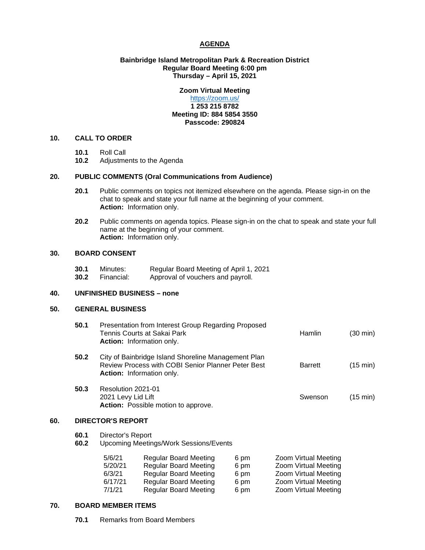### **AGENDA**

### **Bainbridge Island Metropolitan Park & Recreation District Regular Board Meeting 6:00 pm Thursday – April 15, 2021**

# **Zoom Virtual Meeting**

#### <https://zoom.us/> **1 253 215 8782 Meeting ID: 884 5854 3550 Passcode: 290824**

## **10. CALL TO ORDER**

- **10.1** Roll Call
- **10.2** Adjustments to the Agenda

#### **20. PUBLIC COMMENTS (Oral Communications from Audience)**

- **20.1** Public comments on topics not itemized elsewhere on the agenda. Please sign-in on the chat to speak and state your full name at the beginning of your comment. **Action:** Information only.
- **20.2** Public comments on agenda topics. Please sign-in on the chat to speak and state your full name at the beginning of your comment. **Action:** Information only.

#### **30. BOARD CONSENT**

| 30.1 | Minutes:   | Regular Board Meeting of April 1, 2021 |
|------|------------|----------------------------------------|
| 30.2 | Financial: | Approval of vouchers and payroll.      |

#### **40. UNFINISHED BUSINESS – none**

#### **50. GENERAL BUSINESS**

|     | 50.1         | Presentation from Interest Group Regarding Proposed<br>Tennis Courts at Sakai Park<br>Action: Information only.                                      |                                                                                                                                                              |                                      | <b>Hamlin</b>                                                                                                        | $(30 \text{ min})$ |  |
|-----|--------------|------------------------------------------------------------------------------------------------------------------------------------------------------|--------------------------------------------------------------------------------------------------------------------------------------------------------------|--------------------------------------|----------------------------------------------------------------------------------------------------------------------|--------------------|--|
|     | 50.2         | City of Bainbridge Island Shoreline Management Plan<br><b>Review Process with COBI Senior Planner Peter Best</b><br><b>Action:</b> Information only. |                                                                                                                                                              |                                      | <b>Barrett</b>                                                                                                       | $(15 \text{ min})$ |  |
|     | 50.3         | Resolution 2021-01<br>2021 Levy Lid Lift<br>Action: Possible motion to approve.                                                                      |                                                                                                                                                              |                                      | Swenson                                                                                                              | $(15 \text{ min})$ |  |
| 60. |              | <b>DIRECTOR'S REPORT</b>                                                                                                                             |                                                                                                                                                              |                                      |                                                                                                                      |                    |  |
|     | 60.1<br>60.2 | Director's Report<br><b>Upcoming Meetings/Work Sessions/Events</b>                                                                                   |                                                                                                                                                              |                                      |                                                                                                                      |                    |  |
|     |              | 5/6/21<br>5/20/21<br>6/3/21<br>6/17/21<br>7/1/21                                                                                                     | <b>Regular Board Meeting</b><br><b>Regular Board Meeting</b><br><b>Regular Board Meeting</b><br><b>Regular Board Meeting</b><br><b>Regular Board Meeting</b> | 6 pm<br>6 pm<br>6 pm<br>6 pm<br>6 pm | Zoom Virtual Meeting<br>Zoom Virtual Meeting<br>Zoom Virtual Meeting<br>Zoom Virtual Meeting<br>Zoom Virtual Meeting |                    |  |

### **70. BOARD MEMBER ITEMS**

 **70.1** Remarks from Board Members